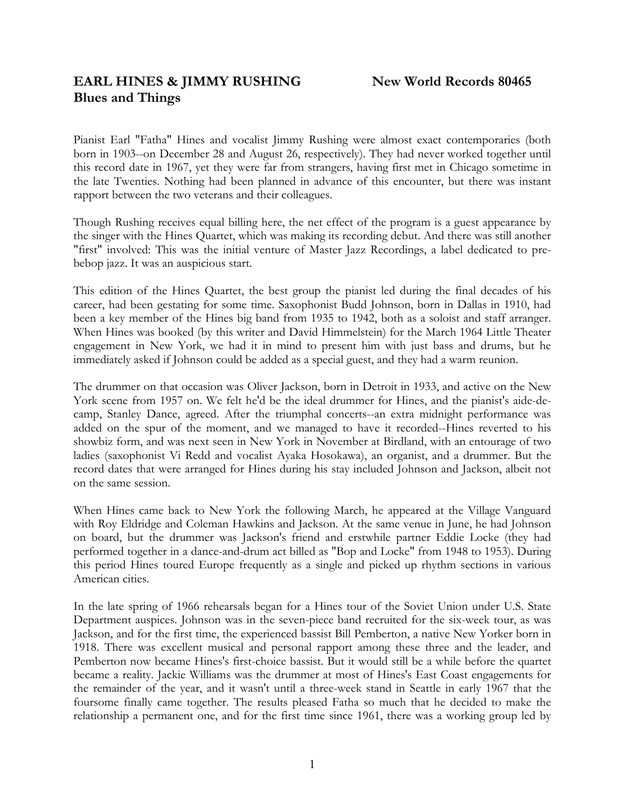# **EARL HINES & JIMMY RUSHING** New World Records 80465 **Blues and Things**

Pianist Earl "Fatha" Hines and vocalist Jimmy Rushing were almost exact contemporaries (both born in 1903--on December 28 and August 26, respectively). They had never worked together until this record date in 1967, yet they were far from strangers, having first met in Chicago sometime in the late Twenties. Nothing had been planned in advance of this encounter, but there was instant rapport between the two veterans and their colleagues.

Though Rushing receives equal billing here, the net effect of the program is a guest appearance by the singer with the Hines Quartet, which was making its recording debut. And there was still another "first" involved: This was the initial venture of Master Jazz Recordings, a label dedicated to prebebop jazz. It was an auspicious start.

This edition of the Hines Quartet, the best group the pianist led during the final decades of his career, had been gestating for some time. Saxophonist Budd Johnson, born in Dallas in 1910, had been a key member of the Hines big band from 1935 to 1942, both as a soloist and staff arranger. When Hines was booked (by this writer and David Himmelstein) for the March 1964 Little Theater engagement in New York, we had it in mind to present him with just bass and drums, but he immediately asked if Johnson could be added as a special guest, and they had a warm reunion.

The drummer on that occasion was Oliver Jackson, born in Detroit in 1933, and active on the New York scene from 1957 on. We felt he'd be the ideal drummer for Hines, and the pianist's aide-decamp, Stanley Dance, agreed. After the triumphal concerts--an extra midnight performance was added on the spur of the moment, and we managed to have it recorded--Hines reverted to his showbiz form, and was next seen in New York in November at Birdland, with an entourage of two ladies (saxophonist Vi Redd and vocalist Ayaka Hosokawa), an organist, and a drummer. But the record dates that were arranged for Hines during his stay included Johnson and Jackson, albeit not on the same session.

When Hines came back to New York the following March, he appeared at the Village Vanguard with Roy Eldridge and Coleman Hawkins and Jackson. At the same venue in June, he had Johnson on board, but the drummer was Jackson's friend and erstwhile partner Eddie Locke (they had performed together in a dance-and-drum act billed as "Bop and Locke" from 1948 to 1953). During this period Hines toured Europe frequently as a single and picked up rhythm sections in various American cities.

In the late spring of 1966 rehearsals began for a Hines tour of the Soviet Union under U.S. State Department auspices. Johnson was in the seven-piece band recruited for the six-week tour, as was Jackson, and for the first time, the experienced bassist Bill Pemberton, a native New Yorker born in 1918. There was excellent musical and personal rapport among these three and the leader, and Pemberton now became Hines's first-choice bassist. But it would still be a while before the quartet became a reality. Jackie Williams was the drummer at most of Hines's East Coast engagements for the remainder of the year, and it wasn't until a three-week stand in Seattle in early 1967 that the foursome finally came together. The results pleased Fatha so much that he decided to make the relationship a permanent one, and for the first time since 1961, there was a working group led by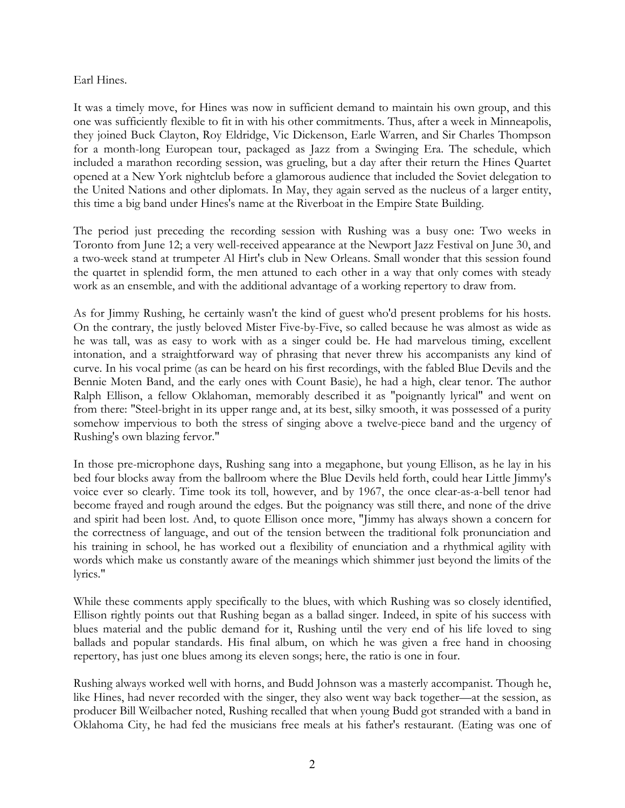#### Earl Hines.

It was a timely move, for Hines was now in sufficient demand to maintain his own group, and this one was sufficiently flexible to fit in with his other commitments. Thus, after a week in Minneapolis, they joined Buck Clayton, Roy Eldridge, Vic Dickenson, Earle Warren, and Sir Charles Thompson for a month-long European tour, packaged as Jazz from a Swinging Era. The schedule, which included a marathon recording session, was grueling, but a day after their return the Hines Quartet opened at a New York nightclub before a glamorous audience that included the Soviet delegation to the United Nations and other diplomats. In May, they again served as the nucleus of a larger entity, this time a big band under Hines's name at the Riverboat in the Empire State Building.

The period just preceding the recording session with Rushing was a busy one: Two weeks in Toronto from June 12; a very well-received appearance at the Newport Jazz Festival on June 30, and a two-week stand at trumpeter Al Hirt's club in New Orleans. Small wonder that this session found the quartet in splendid form, the men attuned to each other in a way that only comes with steady work as an ensemble, and with the additional advantage of a working repertory to draw from.

As for Jimmy Rushing, he certainly wasn't the kind of guest who'd present problems for his hosts. On the contrary, the justly beloved Mister Five-by-Five, so called because he was almost as wide as he was tall, was as easy to work with as a singer could be. He had marvelous timing, excellent intonation, and a straightforward way of phrasing that never threw his accompanists any kind of curve. In his vocal prime (as can be heard on his first recordings, with the fabled Blue Devils and the Bennie Moten Band, and the early ones with Count Basie), he had a high, clear tenor. The author Ralph Ellison, a fellow Oklahoman, memorably described it as "poignantly lyrical" and went on from there: "Steel-bright in its upper range and, at its best, silky smooth, it was possessed of a purity somehow impervious to both the stress of singing above a twelve-piece band and the urgency of Rushing's own blazing fervor."

In those pre-microphone days, Rushing sang into a megaphone, but young Ellison, as he lay in his bed four blocks away from the ballroom where the Blue Devils held forth, could hear Little Jimmy's voice ever so clearly. Time took its toll, however, and by 1967, the once clear-as-a-bell tenor had become frayed and rough around the edges. But the poignancy was still there, and none of the drive and spirit had been lost. And, to quote Ellison once more, "Jimmy has always shown a concern for the correctness of language, and out of the tension between the traditional folk pronunciation and his training in school, he has worked out a flexibility of enunciation and a rhythmical agility with words which make us constantly aware of the meanings which shimmer just beyond the limits of the lyrics."

While these comments apply specifically to the blues, with which Rushing was so closely identified, Ellison rightly points out that Rushing began as a ballad singer. Indeed, in spite of his success with blues material and the public demand for it, Rushing until the very end of his life loved to sing ballads and popular standards. His final album, on which he was given a free hand in choosing repertory, has just one blues among its eleven songs; here, the ratio is one in four.

Rushing always worked well with horns, and Budd Johnson was a masterly accompanist. Though he, like Hines, had never recorded with the singer, they also went way back together—at the session, as producer Bill Weilbacher noted, Rushing recalled that when young Budd got stranded with a band in Oklahoma City, he had fed the musicians free meals at his father's restaurant. (Eating was one of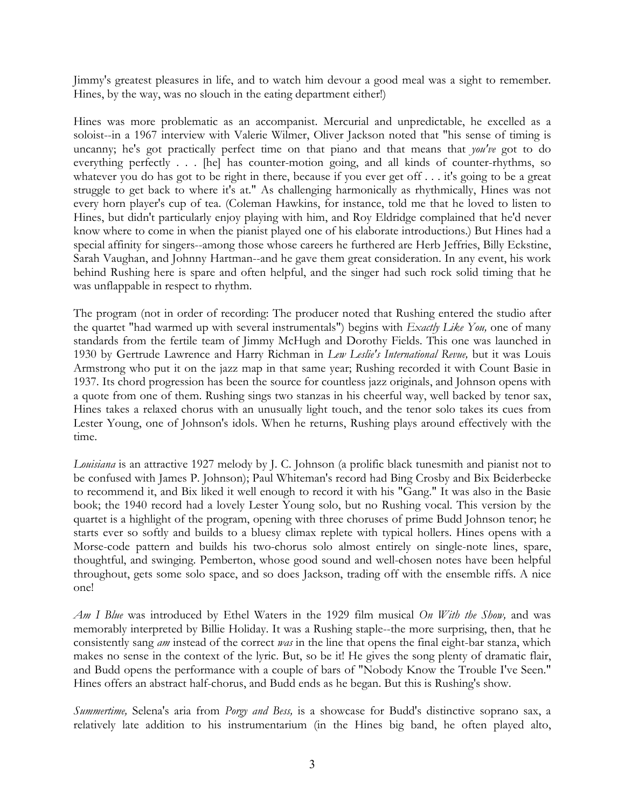Jimmy's greatest pleasures in life, and to watch him devour a good meal was a sight to remember. Hines, by the way, was no slouch in the eating department either!)

Hines was more problematic as an accompanist. Mercurial and unpredictable, he excelled as a soloist--in a 1967 interview with Valerie Wilmer, Oliver Jackson noted that "his sense of timing is uncanny; he's got practically perfect time on that piano and that means that *you've* got to do everything perfectly . . . [he] has counter-motion going, and all kinds of counter-rhythms, so whatever you do has got to be right in there, because if you ever get off . . . it's going to be a great struggle to get back to where it's at." As challenging harmonically as rhythmically, Hines was not every horn player's cup of tea. (Coleman Hawkins, for instance, told me that he loved to listen to Hines, but didn't particularly enjoy playing with him, and Roy Eldridge complained that he'd never know where to come in when the pianist played one of his elaborate introductions.) But Hines had a special affinity for singers--among those whose careers he furthered are Herb Jeffries, Billy Eckstine, Sarah Vaughan, and Johnny Hartman--and he gave them great consideration. In any event, his work behind Rushing here is spare and often helpful, and the singer had such rock solid timing that he was unflappable in respect to rhythm.

The program (not in order of recording: The producer noted that Rushing entered the studio after the quartet "had warmed up with several instrumentals") begins with *Exactly Like You,* one of many standards from the fertile team of Jimmy McHugh and Dorothy Fields. This one was launched in 1930 by Gertrude Lawrence and Harry Richman in *Lew Leslie's International Revue,* but it was Louis Armstrong who put it on the jazz map in that same year; Rushing recorded it with Count Basie in 1937. Its chord progression has been the source for countless jazz originals, and Johnson opens with a quote from one of them. Rushing sings two stanzas in his cheerful way, well backed by tenor sax, Hines takes a relaxed chorus with an unusually light touch, and the tenor solo takes its cues from Lester Young, one of Johnson's idols. When he returns, Rushing plays around effectively with the time.

*Louisiana* is an attractive 1927 melody by J. C. Johnson (a prolific black tunesmith and pianist not to be confused with James P. Johnson); Paul Whiteman's record had Bing Crosby and Bix Beiderbecke to recommend it, and Bix liked it well enough to record it with his "Gang." It was also in the Basie book; the 1940 record had a lovely Lester Young solo, but no Rushing vocal. This version by the quartet is a highlight of the program, opening with three choruses of prime Budd Johnson tenor; he starts ever so softly and builds to a bluesy climax replete with typical hollers. Hines opens with a Morse-code pattern and builds his two-chorus solo almost entirely on single-note lines, spare, thoughtful, and swinging. Pemberton, whose good sound and well-chosen notes have been helpful throughout, gets some solo space, and so does Jackson, trading off with the ensemble riffs. A nice one!

*Am I Blue* was introduced by Ethel Waters in the 1929 film musical *On With the Show,* and was memorably interpreted by Billie Holiday. It was a Rushing staple--the more surprising, then, that he consistently sang *am* instead of the correct *was* in the line that opens the final eight-bar stanza, which makes no sense in the context of the lyric. But, so be it! He gives the song plenty of dramatic flair, and Budd opens the performance with a couple of bars of "Nobody Know the Trouble I've Seen." Hines offers an abstract half-chorus, and Budd ends as he began. But this is Rushing's show.

*Summertime,* Selena's aria from *Porgy and Bess,* is a showcase for Budd's distinctive soprano sax, a relatively late addition to his instrumentarium (in the Hines big band, he often played alto,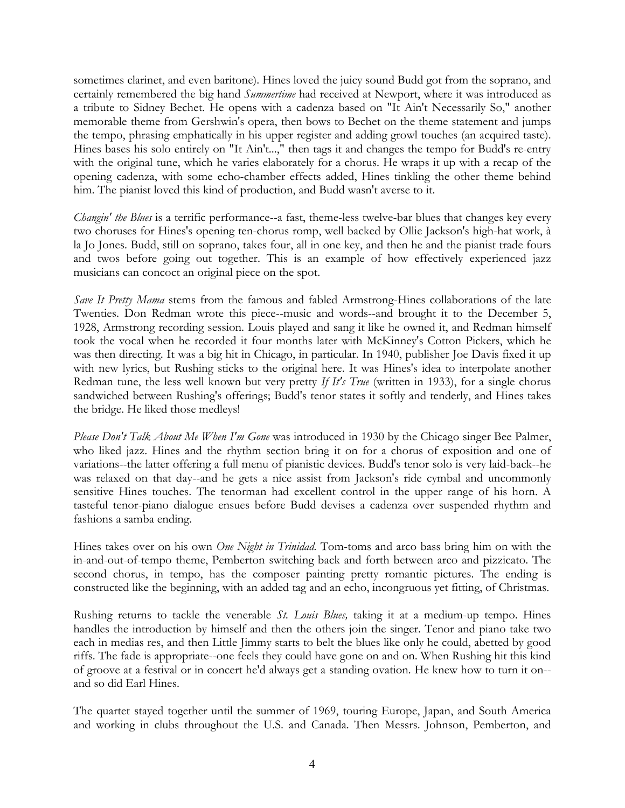sometimes clarinet, and even baritone). Hines loved the juicy sound Budd got from the soprano, and certainly remembered the big hand *Summertime* had received at Newport, where it was introduced as a tribute to Sidney Bechet. He opens with a cadenza based on "It Ain't Necessarily So," another memorable theme from Gershwin's opera, then bows to Bechet on the theme statement and jumps the tempo, phrasing emphatically in his upper register and adding growl touches (an acquired taste). Hines bases his solo entirely on "It Ain't...," then tags it and changes the tempo for Budd's re-entry with the original tune, which he varies elaborately for a chorus. He wraps it up with a recap of the opening cadenza, with some echo-chamber effects added, Hines tinkling the other theme behind him. The pianist loved this kind of production, and Budd wasn't averse to it.

*Changin' the Blues* is a terrific performance--a fast, theme-less twelve-bar blues that changes key every two choruses for Hines's opening ten-chorus romp, well backed by Ollie Jackson's high-hat work, à la Jo Jones. Budd, still on soprano, takes four, all in one key, and then he and the pianist trade fours and twos before going out together. This is an example of how effectively experienced jazz musicians can concoct an original piece on the spot.

*Save It Pretty Mama* stems from the famous and fabled Armstrong-Hines collaborations of the late Twenties. Don Redman wrote this piece--music and words--and brought it to the December 5, 1928, Armstrong recording session. Louis played and sang it like he owned it, and Redman himself took the vocal when he recorded it four months later with McKinney's Cotton Pickers, which he was then directing. It was a big hit in Chicago, in particular. In 1940, publisher Joe Davis fixed it up with new lyrics, but Rushing sticks to the original here. It was Hines's idea to interpolate another Redman tune, the less well known but very pretty *If It's True* (written in 1933), for a single chorus sandwiched between Rushing's offerings; Budd's tenor states it softly and tenderly, and Hines takes the bridge. He liked those medleys!

*Please Don't Talk About Me When I'm Gone* was introduced in 1930 by the Chicago singer Bee Palmer, who liked jazz. Hines and the rhythm section bring it on for a chorus of exposition and one of variations--the latter offering a full menu of pianistic devices. Budd's tenor solo is very laid-back--he was relaxed on that day--and he gets a nice assist from Jackson's ride cymbal and uncommonly sensitive Hines touches. The tenorman had excellent control in the upper range of his horn. A tasteful tenor-piano dialogue ensues before Budd devises a cadenza over suspended rhythm and fashions a samba ending.

Hines takes over on his own *One Night in Trinidad.* Tom-toms and arco bass bring him on with the in-and-out-of-tempo theme, Pemberton switching back and forth between arco and pizzicato. The second chorus, in tempo, has the composer painting pretty romantic pictures. The ending is constructed like the beginning, with an added tag and an echo, incongruous yet fitting, of Christmas.

Rushing returns to tackle the venerable *St. Louis Blues,* taking it at a medium-up tempo. Hines handles the introduction by himself and then the others join the singer. Tenor and piano take two each in medias res, and then Little Jimmy starts to belt the blues like only he could, abetted by good riffs. The fade is appropriate--one feels they could have gone on and on. When Rushing hit this kind of groove at a festival or in concert he'd always get a standing ovation. He knew how to turn it on- and so did Earl Hines.

The quartet stayed together until the summer of 1969, touring Europe, Japan, and South America and working in clubs throughout the U.S. and Canada. Then Messrs. Johnson, Pemberton, and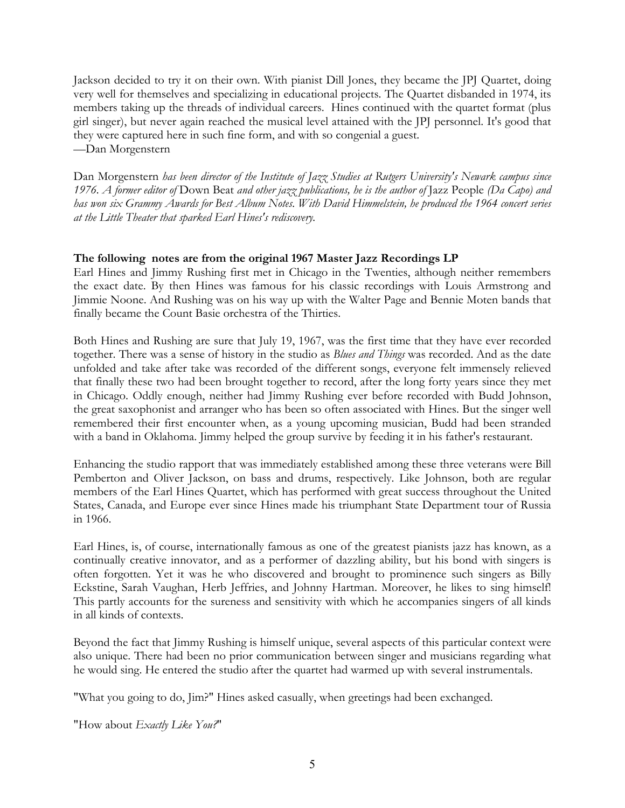Jackson decided to try it on their own. With pianist Dill Jones, they became the JPJ Quartet, doing very well for themselves and specializing in educational projects. The Quartet disbanded in 1974, its members taking up the threads of individual careers. Hines continued with the quartet format (plus girl singer), but never again reached the musical level attained with the JPJ personnel. It's good that they were captured here in such fine form, and with so congenial a guest. —Dan Morgenstern

Dan Morgenstern *has been director of the Institute of Jazz Studies at Rutgers University's Newark campus since 1976. A former editor of* Down Beat *and other jazz publications, he is the author of* Jazz People *(Da Capo) and has won six Grammy Awards for Best Album Notes. With David Himmelstein, he produced the 1964 concert series at the Little Theater that sparked Earl Hines's rediscovery.* 

## **The following notes are from the original 1967 Master Jazz Recordings LP**

Earl Hines and Jimmy Rushing first met in Chicago in the Twenties, although neither remembers the exact date. By then Hines was famous for his classic recordings with Louis Armstrong and Jimmie Noone. And Rushing was on his way up with the Walter Page and Bennie Moten bands that finally became the Count Basie orchestra of the Thirties.

Both Hines and Rushing are sure that July 19, 1967, was the first time that they have ever recorded together. There was a sense of history in the studio as *Blues and Things* was recorded. And as the date unfolded and take after take was recorded of the different songs, everyone felt immensely relieved that finally these two had been brought together to record, after the long forty years since they met in Chicago. Oddly enough, neither had Jimmy Rushing ever before recorded with Budd Johnson, the great saxophonist and arranger who has been so often associated with Hines. But the singer well remembered their first encounter when, as a young upcoming musician, Budd had been stranded with a band in Oklahoma. Jimmy helped the group survive by feeding it in his father's restaurant.

Enhancing the studio rapport that was immediately established among these three veterans were Bill Pemberton and Oliver Jackson, on bass and drums, respectively. Like Johnson, both are regular members of the Earl Hines Quartet, which has performed with great success throughout the United States, Canada, and Europe ever since Hines made his triumphant State Department tour of Russia in 1966.

Earl Hines, is, of course, internationally famous as one of the greatest pianists jazz has known, as a continually creative innovator, and as a performer of dazzling ability, but his bond with singers is often forgotten. Yet it was he who discovered and brought to prominence such singers as Billy Eckstine, Sarah Vaughan, Herb Jeffries, and Johnny Hartman. Moreover, he likes to sing himself! This partly accounts for the sureness and sensitivity with which he accompanies singers of all kinds in all kinds of contexts.

Beyond the fact that Jimmy Rushing is himself unique, several aspects of this particular context were also unique. There had been no prior communication between singer and musicians regarding what he would sing. He entered the studio after the quartet had warmed up with several instrumentals.

"What you going to do, Jim?" Hines asked casually, when greetings had been exchanged.

"How about *Exactly Like You?*"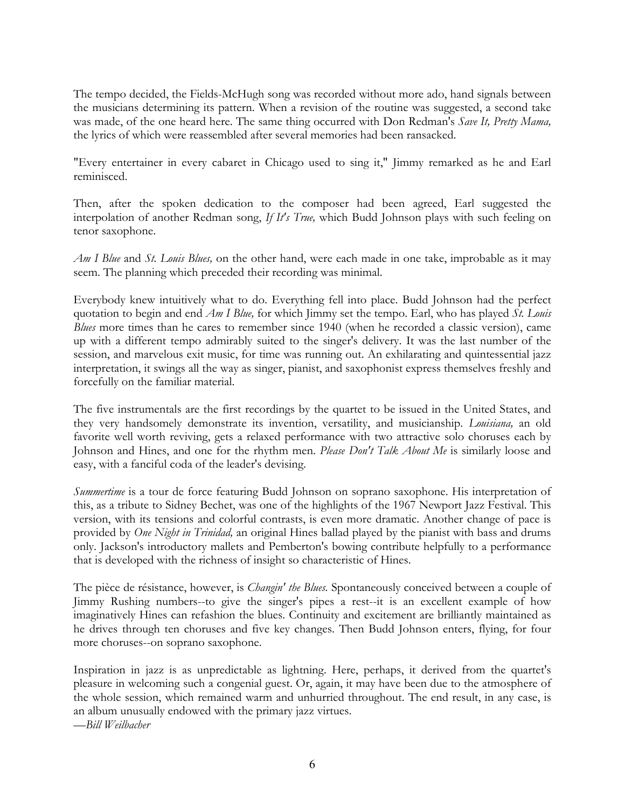The tempo decided, the Fields-McHugh song was recorded without more ado, hand signals between the musicians determining its pattern. When a revision of the routine was suggested, a second take was made, of the one heard here. The same thing occurred with Don Redman's *Save It, Pretty Mama,* the lyrics of which were reassembled after several memories had been ransacked.

"Every entertainer in every cabaret in Chicago used to sing it," Jimmy remarked as he and Earl reminisced.

Then, after the spoken dedication to the composer had been agreed, Earl suggested the interpolation of another Redman song, *If It's True,* which Budd Johnson plays with such feeling on tenor saxophone.

*Am I Blue* and *St. Louis Blues,* on the other hand, were each made in one take, improbable as it may seem. The planning which preceded their recording was minimal.

Everybody knew intuitively what to do. Everything fell into place. Budd Johnson had the perfect quotation to begin and end *Am I Blue,* for which Jimmy set the tempo. Earl, who has played *St. Louis Blues* more times than he cares to remember since 1940 (when he recorded a classic version), came up with a different tempo admirably suited to the singer's delivery. It was the last number of the session, and marvelous exit music, for time was running out. An exhilarating and quintessential jazz interpretation, it swings all the way as singer, pianist, and saxophonist express themselves freshly and forcefully on the familiar material.

The five instrumentals are the first recordings by the quartet to be issued in the United States, and they very handsomely demonstrate its invention, versatility, and musicianship. *Louisiana,* an old favorite well worth reviving, gets a relaxed performance with two attractive solo choruses each by Johnson and Hines, and one for the rhythm men. *Please Don't Talk About Me* is similarly loose and easy, with a fanciful coda of the leader's devising.

*Summertime* is a tour de force featuring Budd Johnson on soprano saxophone. His interpretation of this, as a tribute to Sidney Bechet, was one of the highlights of the 1967 Newport Jazz Festival. This version, with its tensions and colorful contrasts, is even more dramatic. Another change of pace is provided by *One Night in Trinidad,* an original Hines ballad played by the pianist with bass and drums only. Jackson's introductory mallets and Pemberton's bowing contribute helpfully to a performance that is developed with the richness of insight so characteristic of Hines.

The pièce de résistance, however, is *Changin' the Blues.* Spontaneously conceived between a couple of Jimmy Rushing numbers--to give the singer's pipes a rest--it is an excellent example of how imaginatively Hines can refashion the blues. Continuity and excitement are brilliantly maintained as he drives through ten choruses and five key changes. Then Budd Johnson enters, flying, for four more choruses--on soprano saxophone.

Inspiration in jazz is as unpredictable as lightning. Here, perhaps, it derived from the quartet's pleasure in welcoming such a congenial guest. Or, again, it may have been due to the atmosphere of the whole session, which remained warm and unhurried throughout. The end result, in any case, is an album unusually endowed with the primary jazz virtues. —*Bill Weilbacher*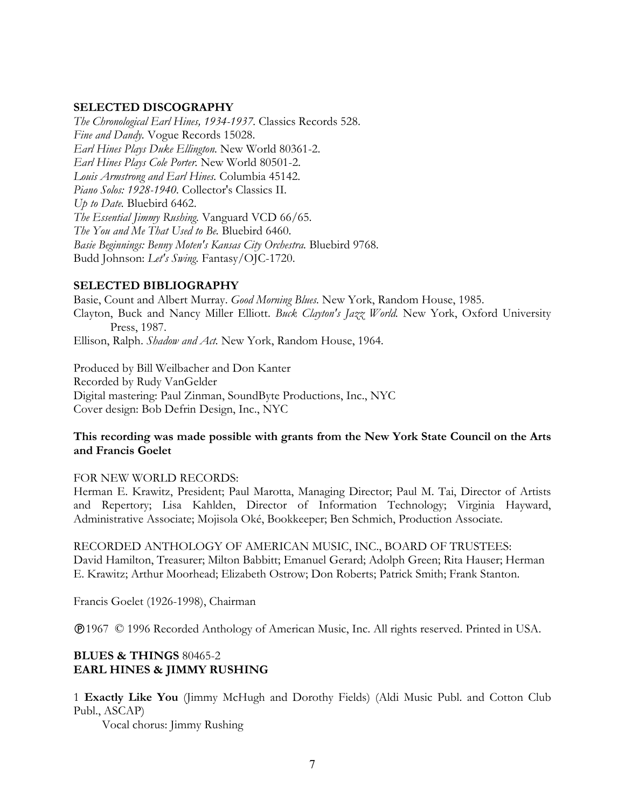#### **SELECTED DISCOGRAPHY**

*The Chronological Earl Hines, 1934-1937.* Classics Records 528. *Fine and Dandy.* Vogue Records 15028. *Earl Hines Plays Duke Ellington.* New World 80361-2. *Earl Hines Plays Cole Porter.* New World 80501-2. *Louis Armstrong and Earl Hines.* Columbia 45142. *Piano Solos: 1928-1940.* Collector's Classics II. *Up to Date.* Bluebird 6462. *The Essential Jimmy Rushing.* Vanguard VCD 66/65. *The You and Me That Used to Be.* Bluebird 6460. *Basie Beginnings: Benny Moten's Kansas City Orchestra.* Bluebird 9768. Budd Johnson: *Let's Swing.* Fantasy/OJC-1720.

#### **SELECTED BIBLIOGRAPHY**

Basie, Count and Albert Murray. *Good Morning Blues.* New York, Random House, 1985. Clayton, Buck and Nancy Miller Elliott. *Buck Clayton's Jazz World.* New York, Oxford University Press, 1987. Ellison, Ralph. *Shadow and Act.* New York, Random House, 1964.

Produced by Bill Weilbacher and Don Kanter Recorded by Rudy VanGelder Digital mastering: Paul Zinman, SoundByte Productions, Inc., NYC Cover design: Bob Defrin Design, Inc., NYC

## **This recording was made possible with grants from the New York State Council on the Arts and Francis Goelet**

#### FOR NEW WORLD RECORDS:

Herman E. Krawitz, President; Paul Marotta, Managing Director; Paul M. Tai, Director of Artists and Repertory; Lisa Kahlden, Director of Information Technology; Virginia Hayward, Administrative Associate; Mojisola Oké, Bookkeeper; Ben Schmich, Production Associate.

RECORDED ANTHOLOGY OF AMERICAN MUSIC, INC., BOARD OF TRUSTEES: David Hamilton, Treasurer; Milton Babbitt; Emanuel Gerard; Adolph Green; Rita Hauser; Herman E. Krawitz; Arthur Moorhead; Elizabeth Ostrow; Don Roberts; Patrick Smith; Frank Stanton.

Francis Goelet (1926-1998), Chairman

1967 © 1996 Recorded Anthology of American Music, Inc. All rights reserved. Printed in USA.

## **BLUES & THINGS** 80465-2 **EARL HINES & JIMMY RUSHING**

1 **Exactly Like You** (Jimmy McHugh and Dorothy Fields) (Aldi Music Publ. and Cotton Club Publ., ASCAP)

Vocal chorus: Jimmy Rushing